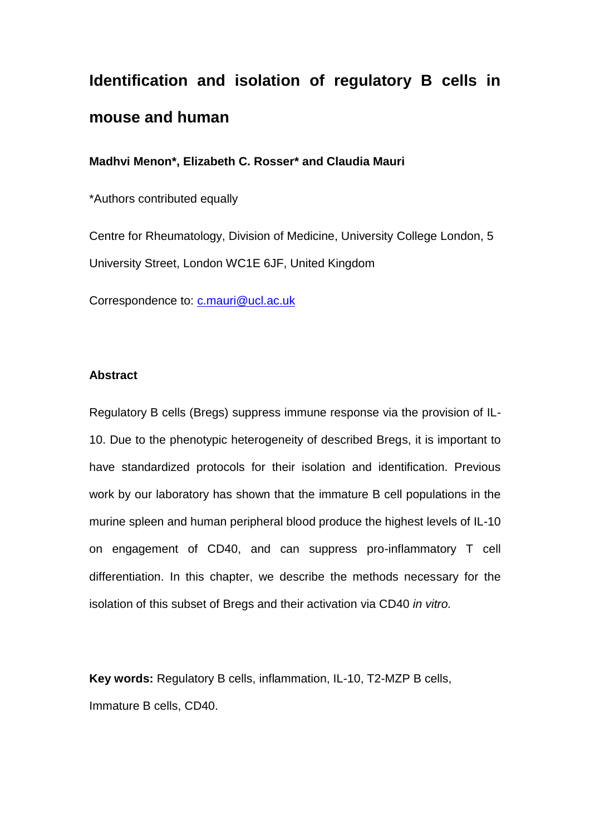# **Identification and isolation of regulatory B cells in mouse and human**

**Madhvi Menon\*, Elizabeth C. Rosser\* and Claudia Mauri**

\*Authors contributed equally

Centre for Rheumatology, Division of Medicine, University College London, 5 University Street, London WC1E 6JF, United Kingdom

Correspondence to: [c.mauri@ucl.ac.uk](mailto:c.mauri@ucl.ac.uk)

#### **Abstract**

Regulatory B cells (Bregs) suppress immune response via the provision of IL-10. Due to the phenotypic heterogeneity of described Bregs, it is important to have standardized protocols for their isolation and identification. Previous work by our laboratory has shown that the immature B cell populations in the murine spleen and human peripheral blood produce the highest levels of IL-10 on engagement of CD40, and can suppress pro-inflammatory T cell differentiation. In this chapter, we describe the methods necessary for the isolation of this subset of Bregs and their activation via CD40 *in vitro.*

**Key words:** Regulatory B cells, inflammation, IL-10, T2-MZP B cells, Immature B cells, CD40.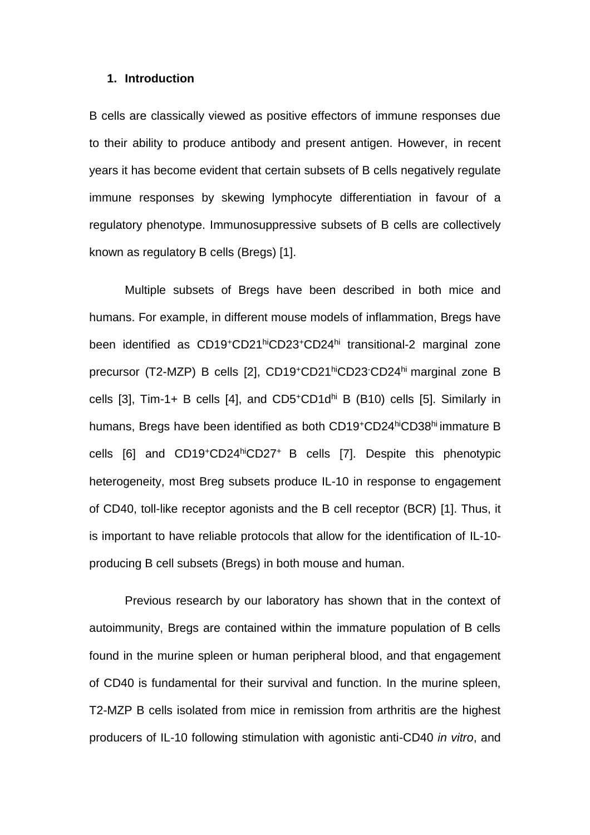#### **1. Introduction**

B cells are classically viewed as positive effectors of immune responses due to their ability to produce antibody and present antigen. However, in recent years it has become evident that certain subsets of B cells negatively regulate immune responses by skewing lymphocyte differentiation in favour of a regulatory phenotype. Immunosuppressive subsets of B cells are collectively known as regulatory B cells (Bregs) [\[1\]](#page-17-0).

Multiple subsets of Bregs have been described in both mice and humans. For example, in different mouse models of inflammation, Bregs have been identified as CD19<sup>+</sup>CD21<sup>hi</sup>CD23<sup>+</sup>CD24<sup>hi</sup> transitional-2 marginal zone precursor (T2-MZP) B cells [\[2\]](#page-17-1), CD19<sup>+</sup>CD21hiCD23-CD24hi marginal zone B cells [\[3\]](#page-17-2), Tim-1+ B cells [\[4\]](#page-17-3), and  $CD5+CD1d^{\text{hi}}$  B (B10) cells [\[5\]](#page-17-4). Similarly in humans, Bregs have been identified as both CD19<sup>+</sup>CD24hiCD38hi immature B cells [\[6\]](#page-17-5) and CD19<sup>+</sup>CD24hiCD27<sup>+</sup>B cells [\[7\]](#page-18-0). Despite this phenotypic heterogeneity, most Breg subsets produce IL-10 in response to engagement of CD40, toll-like receptor agonists and the B cell receptor (BCR) [\[1\]](#page-17-0). Thus, it is important to have reliable protocols that allow for the identification of IL-10 producing B cell subsets (Bregs) in both mouse and human.

Previous research by our laboratory has shown that in the context of autoimmunity, Bregs are contained within the immature population of B cells found in the murine spleen or human peripheral blood, and that engagement of CD40 is fundamental for their survival and function. In the murine spleen, T2-MZP B cells isolated from mice in remission from arthritis are the highest producers of IL-10 following stimulation with agonistic anti-CD40 *in vitro*, and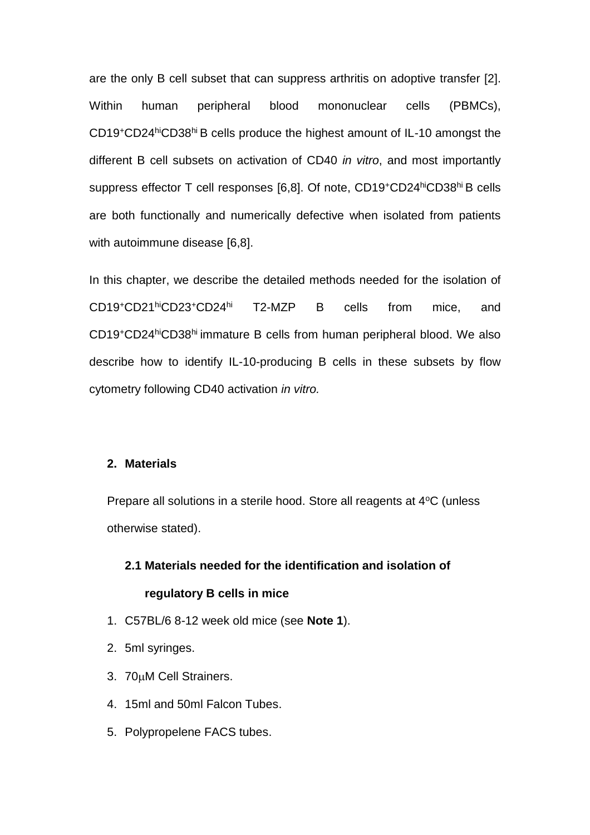are the only B cell subset that can suppress arthritis on adoptive transfer [\[2\]](#page-17-1). Within human peripheral blood mononuclear cells (PBMCs), CD19<sup>+</sup>CD24hiCD38hi B cells produce the highest amount of IL-10 amongst the different B cell subsets on activation of CD40 *in vitro*, and most importantly suppress effector T cell responses [\[6,](#page-17-5)[8\]](#page-18-1). Of note, CD19<sup>+</sup>CD24hiCD38hi B cells are both functionally and numerically defective when isolated from patients with autoimmune disease [\[6](#page-17-5)[,8\]](#page-18-1).

In this chapter, we describe the detailed methods needed for the isolation of CD19<sup>+</sup>CD21hiCD23<sup>+</sup>CD24hi T2-MZP B cells from mice, and CD19<sup>+</sup>CD24hiCD38hi immature B cells from human peripheral blood. We also describe how to identify IL-10-producing B cells in these subsets by flow cytometry following CD40 activation *in vitro.*

#### **2. Materials**

Prepare all solutions in a sterile hood. Store all reagents at 4<sup>o</sup>C (unless otherwise stated).

## **2.1 Materials needed for the identification and isolation of**

#### **regulatory B cells in mice**

- 1. C57BL/6 8-12 week old mice (see **Note 1**).
- 2. 5ml syringes.
- 3. 70µM Cell Strainers.
- 4. 15ml and 50ml Falcon Tubes.
- 5. Polypropelene FACS tubes.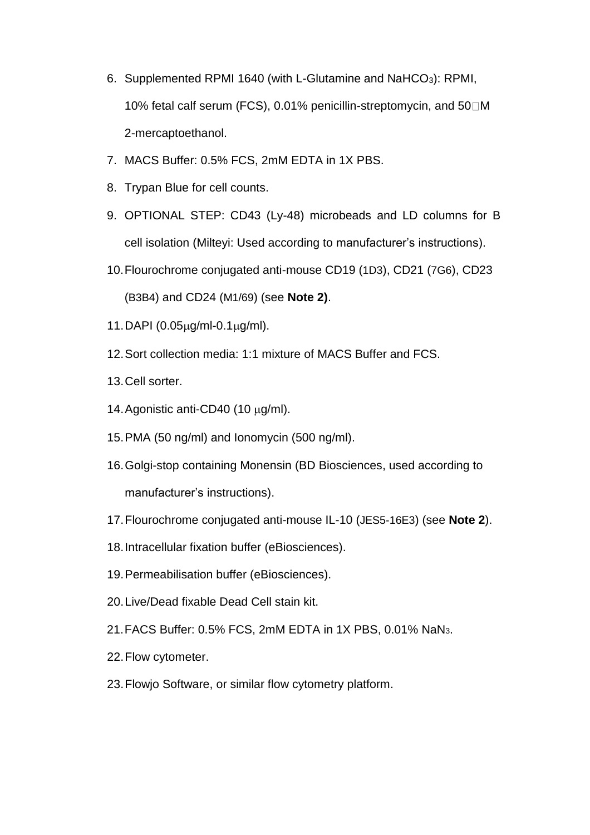- 6. Supplemented RPMI 1640 (with L-Glutamine and NaHCO3): RPMI, 10% fetal calf serum (FCS), 0.01% penicillin-streptomycin, and 50 M 2-mercaptoethanol.
- 7. MACS Buffer: 0.5% FCS, 2mM EDTA in 1X PBS.
- 8. Trypan Blue for cell counts.
- 9. OPTIONAL STEP: CD43 (Ly-48) microbeads and LD columns for B cell isolation (Milteyi: Used according to manufacturer's instructions).
- 10.Flourochrome conjugated anti-mouse CD19 (1D3), CD21 (7G6), CD23

(B3B4) and CD24 (M1/69) (see **Note 2)**.

- 11. DAPI  $(0.05 \mu g/ml 0.1 \mu g/ml)$ .
- 12.Sort collection media: 1:1 mixture of MACS Buffer and FCS.
- 13.Cell sorter.
- 14. Agonistic anti-CD40 (10  $\mu$ g/ml).
- 15.PMA (50 ng/ml) and Ionomycin (500 ng/ml).
- 16.Golgi-stop containing Monensin (BD Biosciences, used according to manufacturer's instructions).
- 17.Flourochrome conjugated anti-mouse IL-10 (JES5-16E3) (see **Note 2**).
- 18.Intracellular fixation buffer (eBiosciences).
- 19.Permeabilisation buffer (eBiosciences).
- 20.Live/Dead fixable Dead Cell stain kit.
- 21.FACS Buffer: 0.5% FCS, 2mM EDTA in 1X PBS, 0.01% NaN3.
- 22.Flow cytometer.
- 23.Flowjo Software, or similar flow cytometry platform.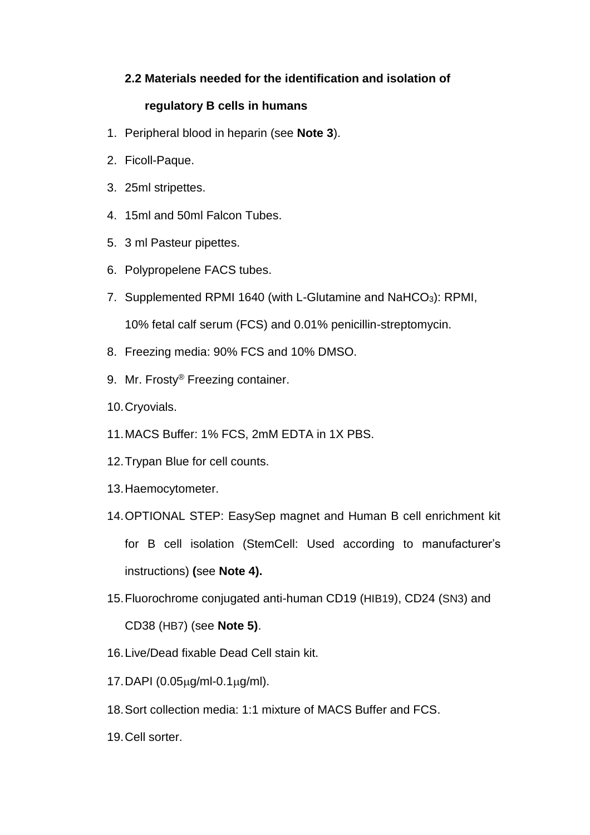## **2.2 Materials needed for the identification and isolation of**

## **regulatory B cells in humans**

- 1. Peripheral blood in heparin (see **Note 3**).
- 2. Ficoll-Paque.
- 3. 25ml stripettes.
- 4. 15ml and 50ml Falcon Tubes.
- 5. 3 ml Pasteur pipettes.
- 6. Polypropelene FACS tubes.
- 7. Supplemented RPMI 1640 (with L-Glutamine and NaHCO<sub>3</sub>): RPMI, 10% fetal calf serum (FCS) and 0.01% penicillin-streptomycin.
- 8. Freezing media: 90% FCS and 10% DMSO.
- 9. Mr. Frosty® Freezing container.
- 10.Cryovials.
- 11.MACS Buffer: 1% FCS, 2mM EDTA in 1X PBS.
- 12.Trypan Blue for cell counts.
- 13.Haemocytometer.
- 14.OPTIONAL STEP: EasySep magnet and Human B cell enrichment kit for B cell isolation (StemCell: Used according to manufacturer's instructions) **(**see **Note 4).**
- 15.Fluorochrome conjugated anti-human CD19 (HIB19), CD24 (SN3) and CD38 (HB7) (see **Note 5)**.
- 16.Live/Dead fixable Dead Cell stain kit.
- 17. DAPI  $(0.05 \mu g/ml 0.1 \mu g/ml)$ .
- 18.Sort collection media: 1:1 mixture of MACS Buffer and FCS.
- 19.Cell sorter.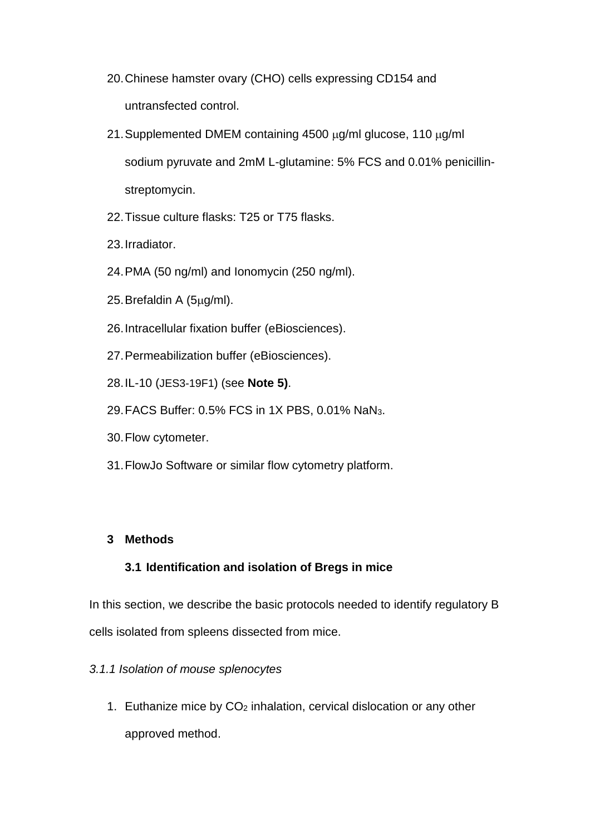- 20.Chinese hamster ovary (CHO) cells expressing CD154 and untransfected control.
- 21. Supplemented DMEM containing  $4500 \mu g/ml$  glucose, 110  $\mu g/ml$ sodium pyruvate and 2mM L-glutamine: 5% FCS and 0.01% penicillinstreptomycin.
- 22.Tissue culture flasks: T25 or T75 flasks.
- 23.Irradiator.
- 24.PMA (50 ng/ml) and Ionomycin (250 ng/ml).
- 25. Brefaldin A (5µg/ml).
- 26.Intracellular fixation buffer (eBiosciences).
- 27.Permeabilization buffer (eBiosciences).
- 28.IL-10 (JES3-19F1) (see **Note 5)**.
- 29.FACS Buffer: 0.5% FCS in 1X PBS, 0.01% NaN3.
- 30.Flow cytometer.
- 31.FlowJo Software or similar flow cytometry platform.

### **3 Methods**

#### **3.1 Identification and isolation of Bregs in mice**

In this section, we describe the basic protocols needed to identify regulatory B cells isolated from spleens dissected from mice.

#### *3.1.1 Isolation of mouse splenocytes*

1. Euthanize mice by CO<sup>2</sup> inhalation, cervical dislocation or any other approved method.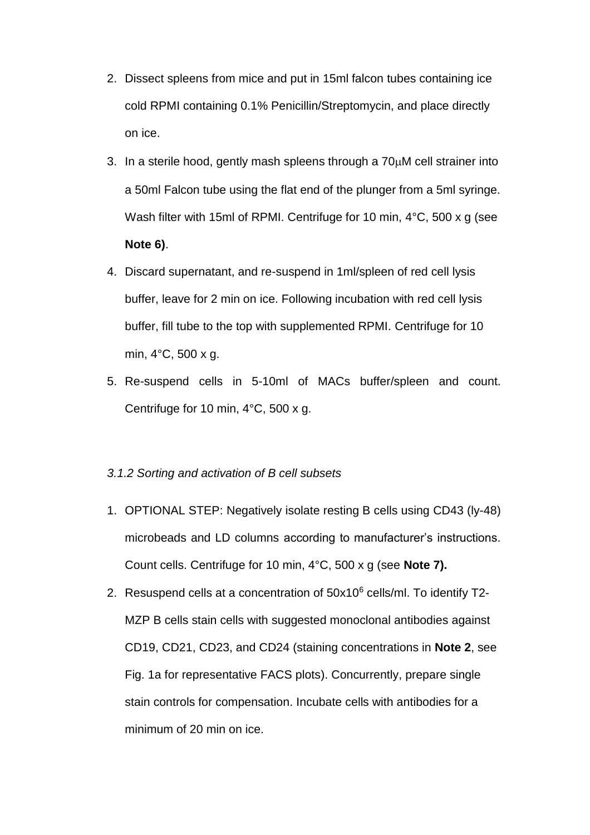- 2. Dissect spleens from mice and put in 15ml falcon tubes containing ice cold RPMI containing 0.1% Penicillin/Streptomycin, and place directly on ice.
- 3. In a sterile hood, gently mash spleens through a  $70<sub>\mu</sub>M$  cell strainer into a 50ml Falcon tube using the flat end of the plunger from a 5ml syringe. Wash filter with 15ml of RPMI. Centrifuge for 10 min, 4°C, 500 x g (see **Note 6)**.
- 4. Discard supernatant, and re-suspend in 1ml/spleen of red cell lysis buffer, leave for 2 min on ice. Following incubation with red cell lysis buffer, fill tube to the top with supplemented RPMI. Centrifuge for 10 min, 4°C, 500 x g.
- 5. Re-suspend cells in 5-10ml of MACs buffer/spleen and count. Centrifuge for 10 min, 4°C, 500 x g.

#### *3.1.2 Sorting and activation of B cell subsets*

- 1. OPTIONAL STEP: Negatively isolate resting B cells using CD43 (ly-48) microbeads and LD columns according to manufacturer's instructions. Count cells. Centrifuge for 10 min, 4°C, 500 x g (see **Note 7).**
- 2. Resuspend cells at a concentration of 50x10<sup>6</sup> cells/ml. To identify T2- MZP B cells stain cells with suggested monoclonal antibodies against CD19, CD21, CD23, and CD24 (staining concentrations in **Note 2**, see Fig. 1a for representative FACS plots). Concurrently, prepare single stain controls for compensation. Incubate cells with antibodies for a minimum of 20 min on ice.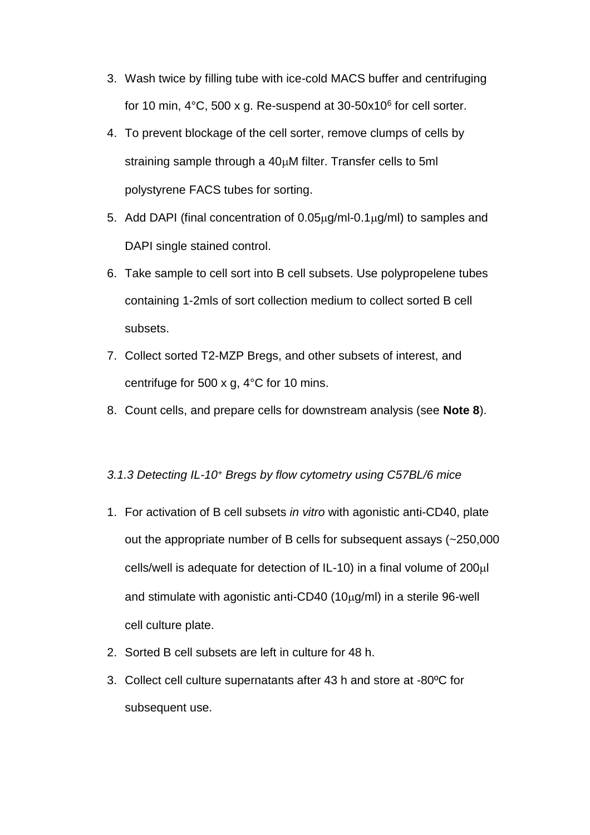- 3. Wash twice by filling tube with ice-cold MACS buffer and centrifuging for 10 min, 4°C, 500 x g. Re-suspend at 30-50x10 $^6$  for cell sorter.
- 4. To prevent blockage of the cell sorter, remove clumps of cells by straining sample through a  $40\mu$ M filter. Transfer cells to 5ml polystyrene FACS tubes for sorting.
- 5. Add DAPI (final concentration of  $0.05\mu g/ml 0.1\mu g/ml$ ) to samples and DAPI single stained control.
- 6. Take sample to cell sort into B cell subsets. Use polypropelene tubes containing 1-2mls of sort collection medium to collect sorted B cell subsets.
- 7. Collect sorted T2-MZP Bregs, and other subsets of interest, and centrifuge for 500 x g, 4°C for 10 mins.
- 8. Count cells, and prepare cells for downstream analysis (see **Note 8**).

#### *3.1.3 Detecting IL-10<sup>+</sup> Bregs by flow cytometry using C57BL/6 mice*

- 1. For activation of B cell subsets *in vitro* with agonistic anti-CD40, plate out the appropriate number of B cells for subsequent assays (~250,000  $cells/well$  is adequate for detection of IL-10) in a final volume of  $200\mu$ and stimulate with agonistic anti-CD40  $(10\mu g/ml)$  in a sterile 96-well cell culture plate.
- 2. Sorted B cell subsets are left in culture for 48 h.
- 3. Collect cell culture supernatants after 43 h and store at -80ºC for subsequent use.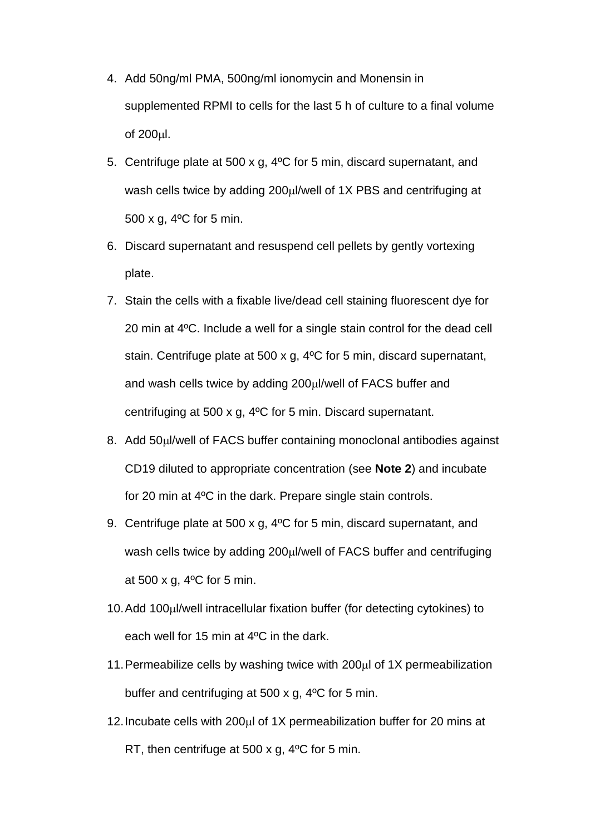- 4. Add 50ng/ml PMA, 500ng/ml ionomycin and Monensin in supplemented RPMI to cells for the last 5 h of culture to a final volume of  $200 \mu l$ .
- 5. Centrifuge plate at 500 x g, 4ºC for 5 min, discard supernatant, and wash cells twice by adding  $200\mu$  /well of 1X PBS and centrifuging at 500 x g, 4ºC for 5 min.
- 6. Discard supernatant and resuspend cell pellets by gently vortexing plate.
- 7. Stain the cells with a fixable live/dead cell staining fluorescent dye for 20 min at 4ºC. Include a well for a single stain control for the dead cell stain. Centrifuge plate at 500 x g, 4ºC for 5 min, discard supernatant, and wash cells twice by adding 200µl/well of FACS buffer and centrifuging at 500 x g, 4ºC for 5 min. Discard supernatant.
- 8. Add 50µl/well of FACS buffer containing monoclonal antibodies against CD19 diluted to appropriate concentration (see **Note 2**) and incubate for 20 min at 4ºC in the dark. Prepare single stain controls.
- 9. Centrifuge plate at 500 x g, 4ºC for 5 min, discard supernatant, and wash cells twice by adding 200µl/well of FACS buffer and centrifuging at 500 x g,  $4^{\circ}$ C for 5 min.
- 10. Add 100µl/well intracellular fixation buffer (for detecting cytokines) to each well for 15 min at 4ºC in the dark.
- 11. Permeabilize cells by washing twice with  $200\mu$  of 1X permeabilization buffer and centrifuging at 500 x g, 4ºC for 5 min.
- 12. Incubate cells with  $200\mu$  of 1X permeabilization buffer for 20 mins at RT, then centrifuge at 500 x g, 4ºC for 5 min.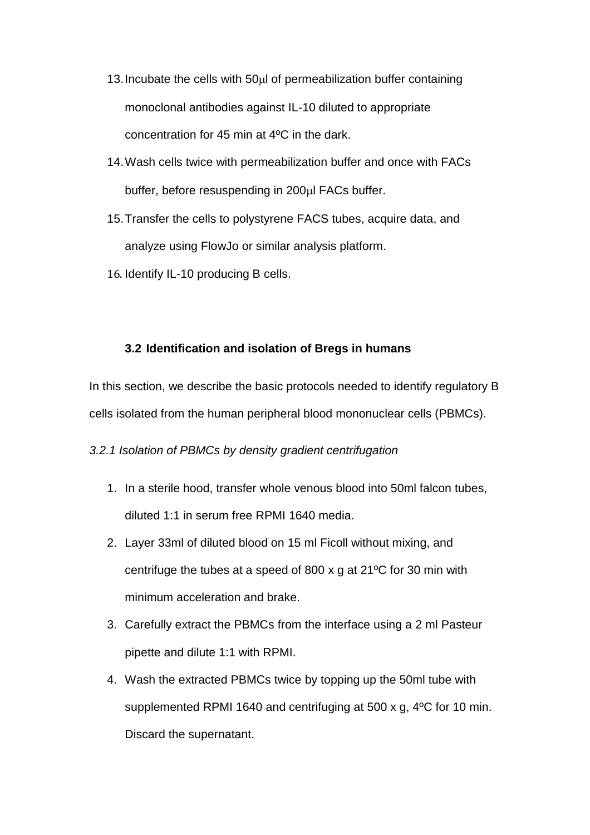- 13. Incubate the cells with  $50\mu$  of permeabilization buffer containing monoclonal antibodies against IL-10 diluted to appropriate concentration for 45 min at 4ºC in the dark.
- 14.Wash cells twice with permeabilization buffer and once with FACs buffer, before resuspending in 200µl FACs buffer.
- 15.Transfer the cells to polystyrene FACS tubes, acquire data, and analyze using FlowJo or similar analysis platform.
- 16. Identify IL-10 producing B cells.

#### **3.2 Identification and isolation of Bregs in humans**

In this section, we describe the basic protocols needed to identify regulatory B cells isolated from the human peripheral blood mononuclear cells (PBMCs).

#### *3.2.1 Isolation of PBMCs by density gradient centrifugation*

- 1. In a sterile hood, transfer whole venous blood into 50ml falcon tubes, diluted 1:1 in serum free RPMI 1640 media.
- 2. Layer 33ml of diluted blood on 15 ml Ficoll without mixing, and centrifuge the tubes at a speed of 800 x g at 21ºC for 30 min with minimum acceleration and brake.
- 3. Carefully extract the PBMCs from the interface using a 2 ml Pasteur pipette and dilute 1:1 with RPMI.
- 4. Wash the extracted PBMCs twice by topping up the 50ml tube with supplemented RPMI 1640 and centrifuging at 500 x g, 4ºC for 10 min. Discard the supernatant.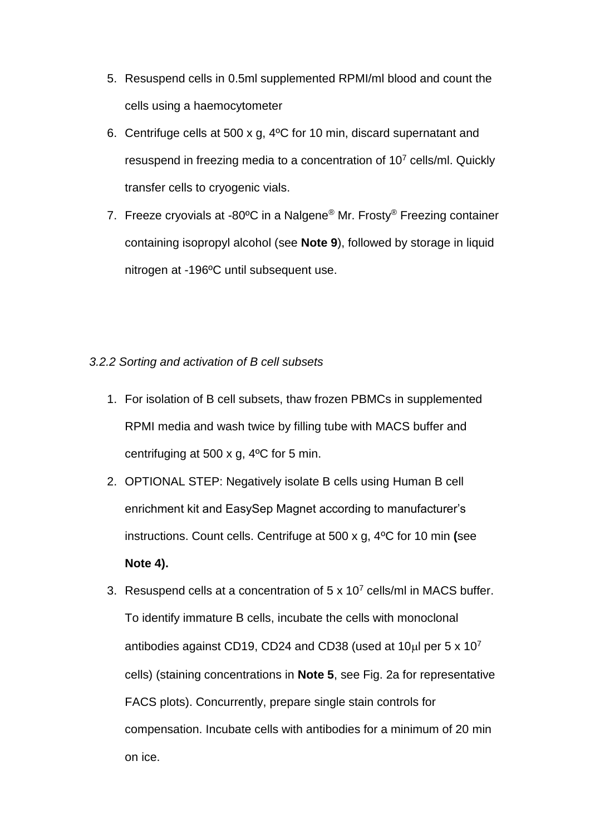- 5. Resuspend cells in 0.5ml supplemented RPMI/ml blood and count the cells using a haemocytometer
- 6. Centrifuge cells at 500 x g, 4ºC for 10 min, discard supernatant and resuspend in freezing media to a concentration of 10<sup>7</sup> cells/ml. Quickly transfer cells to cryogenic vials.
- 7. Freeze cryovials at -80°C in a Nalgene<sup>®</sup> Mr. Frosty<sup>®</sup> Freezing container containing isopropyl alcohol (see **Note 9**), followed by storage in liquid nitrogen at -196ºC until subsequent use.

#### *3.2.2 Sorting and activation of B cell subsets*

- 1. For isolation of B cell subsets, thaw frozen PBMCs in supplemented RPMI media and wash twice by filling tube with MACS buffer and centrifuging at 500 x g, 4ºC for 5 min.
- 2. OPTIONAL STEP: Negatively isolate B cells using Human B cell enrichment kit and EasySep Magnet according to manufacturer's instructions. Count cells. Centrifuge at 500 x g, 4ºC for 10 min **(**see **Note 4).**
- 3. Resuspend cells at a concentration of  $5 \times 10^7$  cells/ml in MACS buffer. To identify immature B cells, incubate the cells with monoclonal antibodies against CD19, CD24 and CD38 (used at 10 $\mu$ l per 5 x 10<sup>7</sup> cells) (staining concentrations in **Note 5**, see Fig. 2a for representative FACS plots). Concurrently, prepare single stain controls for compensation. Incubate cells with antibodies for a minimum of 20 min on ice.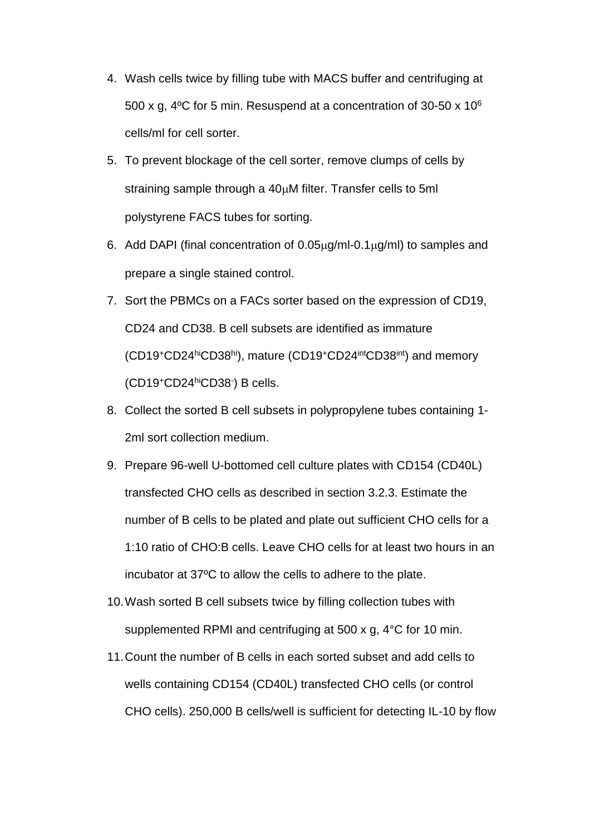- 4. Wash cells twice by filling tube with MACS buffer and centrifuging at 500 x g, 4ºC for 5 min. Resuspend at a concentration of 30-50 x 10<sup>6</sup> cells/ml for cell sorter.
- 5. To prevent blockage of the cell sorter, remove clumps of cells by straining sample through a  $40\mu$ M filter. Transfer cells to 5ml polystyrene FACS tubes for sorting.
- 6. Add DAPI (final concentration of  $0.05<sub>\mu</sub>q/ml-0.1<sub>\mu</sub>q/ml$ ) to samples and prepare a single stained control.
- 7. Sort the PBMCs on a FACs sorter based on the expression of CD19, CD24 and CD38. B cell subsets are identified as immature (CD19<sup>+</sup>CD24hiCD38hi), mature (CD19<sup>+</sup>CD24intCD38int) and memory (CD19<sup>+</sup>CD24hiCD38- ) B cells.
- 8. Collect the sorted B cell subsets in polypropylene tubes containing 1- 2ml sort collection medium.
- 9. Prepare 96-well U-bottomed cell culture plates with CD154 (CD40L) transfected CHO cells as described in section 3.2.3. Estimate the number of B cells to be plated and plate out sufficient CHO cells for a 1:10 ratio of CHO:B cells. Leave CHO cells for at least two hours in an incubator at 37ºC to allow the cells to adhere to the plate.
- 10.Wash sorted B cell subsets twice by filling collection tubes with supplemented RPMI and centrifuging at 500 x g, 4°C for 10 min.
- 11.Count the number of B cells in each sorted subset and add cells to wells containing CD154 (CD40L) transfected CHO cells (or control CHO cells). 250,000 B cells/well is sufficient for detecting IL-10 by flow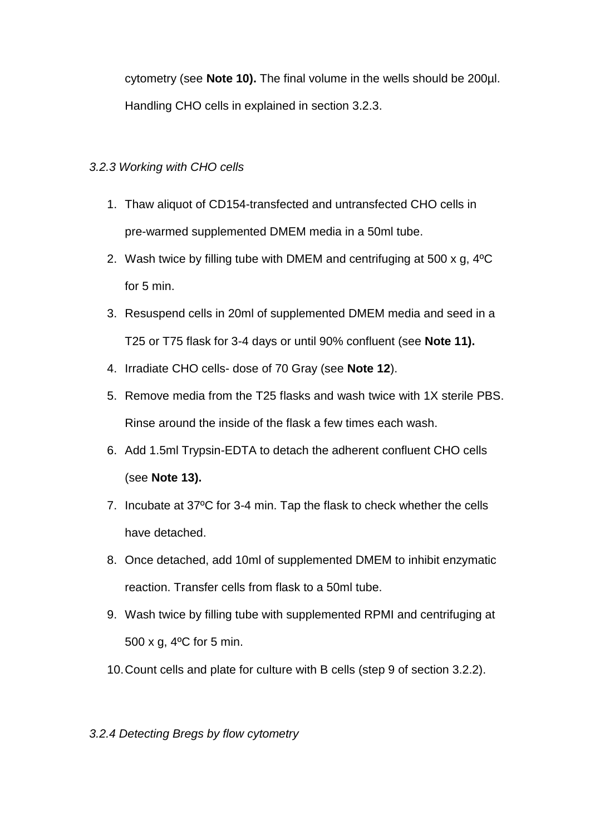cytometry (see **Note 10).** The final volume in the wells should be 200µl. Handling CHO cells in explained in section 3.2.3.

## *3.2.3 Working with CHO cells*

- 1. Thaw aliquot of CD154-transfected and untransfected CHO cells in pre-warmed supplemented DMEM media in a 50ml tube.
- 2. Wash twice by filling tube with DMEM and centrifuging at 500 x g, 4ºC for 5 min.
- 3. Resuspend cells in 20ml of supplemented DMEM media and seed in a T25 or T75 flask for 3-4 days or until 90% confluent (see **Note 11).**
- 4. Irradiate CHO cells- dose of 70 Gray (see **Note 12**).
- 5. Remove media from the T25 flasks and wash twice with 1X sterile PBS. Rinse around the inside of the flask a few times each wash.
- 6. Add 1.5ml Trypsin-EDTA to detach the adherent confluent CHO cells (see **Note 13).**
- 7. Incubate at 37ºC for 3-4 min. Tap the flask to check whether the cells have detached.
- 8. Once detached, add 10ml of supplemented DMEM to inhibit enzymatic reaction. Transfer cells from flask to a 50ml tube.
- 9. Wash twice by filling tube with supplemented RPMI and centrifuging at 500 x g, 4ºC for 5 min.
- 10.Count cells and plate for culture with B cells (step 9 of section 3.2.2).

## *3.2.4 Detecting Bregs by flow cytometry*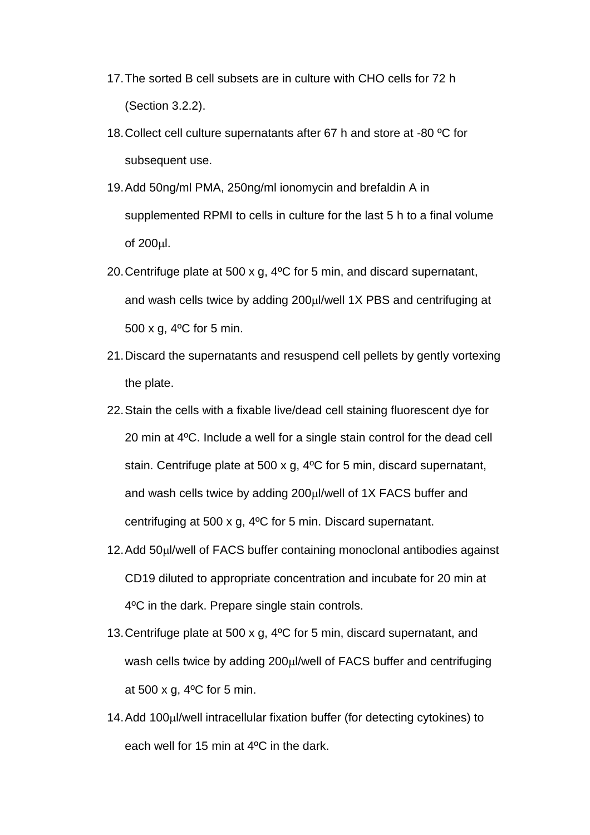- 17.The sorted B cell subsets are in culture with CHO cells for 72 h (Section 3.2.2).
- 18.Collect cell culture supernatants after 67 h and store at -80 ºC for subsequent use.
- 19.Add 50ng/ml PMA, 250ng/ml ionomycin and brefaldin A in supplemented RPMI to cells in culture for the last 5 h to a final volume of  $200 \mu$ .
- 20.Centrifuge plate at 500 x g, 4ºC for 5 min, and discard supernatant, and wash cells twice by adding 200µl/well 1X PBS and centrifuging at 500 x g, 4ºC for 5 min.
- 21.Discard the supernatants and resuspend cell pellets by gently vortexing the plate.
- 22.Stain the cells with a fixable live/dead cell staining fluorescent dye for 20 min at 4ºC. Include a well for a single stain control for the dead cell stain. Centrifuge plate at 500 x g, 4ºC for 5 min, discard supernatant, and wash cells twice by adding  $200\mu$  /well of 1X FACS buffer and centrifuging at 500 x g, 4ºC for 5 min. Discard supernatant.
- 12. Add 50 µl/well of FACS buffer containing monoclonal antibodies against CD19 diluted to appropriate concentration and incubate for 20 min at 4ºC in the dark. Prepare single stain controls.
- 13.Centrifuge plate at 500 x g, 4ºC for 5 min, discard supernatant, and wash cells twice by adding 200µl/well of FACS buffer and centrifuging at 500 x g, 4ºC for 5 min.
- 14. Add 100µl/well intracellular fixation buffer (for detecting cytokines) to each well for 15 min at 4ºC in the dark.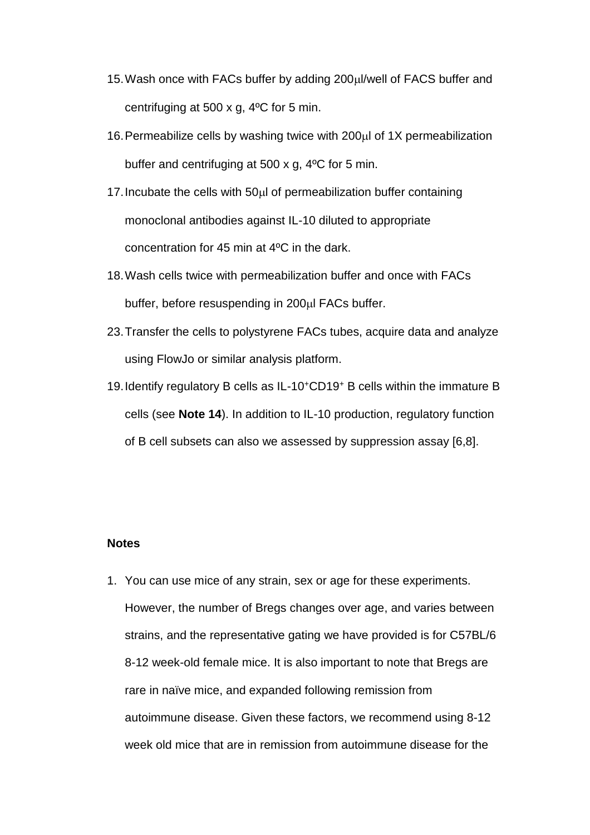- 15. Wash once with FACs buffer by adding 200µl/well of FACS buffer and centrifuging at 500 x g, 4ºC for 5 min.
- 16. Permeabilize cells by washing twice with  $200\mu$  of 1X permeabilization buffer and centrifuging at 500 x g, 4ºC for 5 min.
- 17. Incubate the cells with 50ul of permeabilization buffer containing monoclonal antibodies against IL-10 diluted to appropriate concentration for 45 min at 4ºC in the dark.
- 18.Wash cells twice with permeabilization buffer and once with FACs buffer, before resuspending in 200µl FACs buffer.
- 23.Transfer the cells to polystyrene FACs tubes, acquire data and analyze using FlowJo or similar analysis platform.
- 19.Identify regulatory B cells as IL-10<sup>+</sup>CD19<sup>+</sup> B cells within the immature B cells (see **Note 14**). In addition to IL-10 production, regulatory function of B cell subsets can also we assessed by suppression assay [\[6](#page-17-5)[,8\]](#page-18-1).

#### **Notes**

1. You can use mice of any strain, sex or age for these experiments. However, the number of Bregs changes over age, and varies between strains, and the representative gating we have provided is for C57BL/6 8-12 week-old female mice. It is also important to note that Bregs are rare in naïve mice, and expanded following remission from autoimmune disease. Given these factors, we recommend using 8-12 week old mice that are in remission from autoimmune disease for the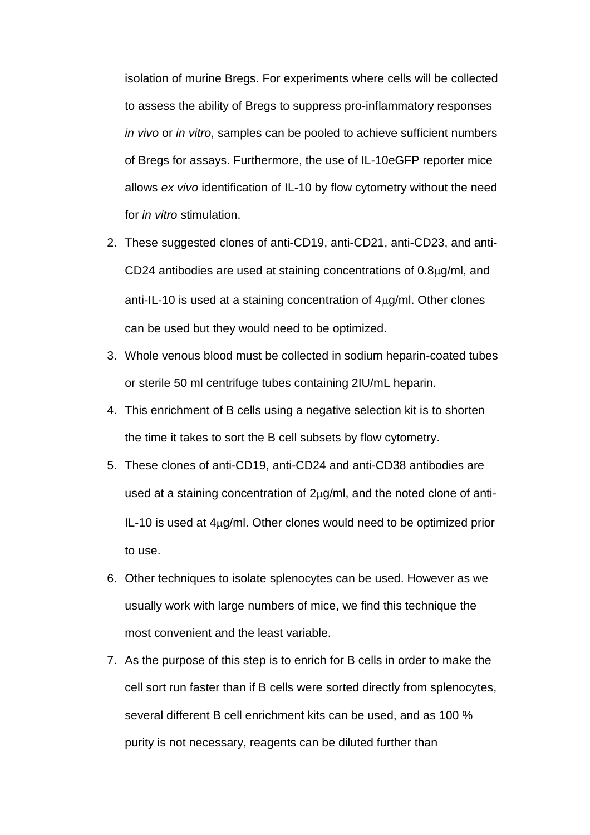isolation of murine Bregs. For experiments where cells will be collected to assess the ability of Bregs to suppress pro-inflammatory responses *in vivo* or *in vitro*, samples can be pooled to achieve sufficient numbers of Bregs for assays. Furthermore, the use of IL-10eGFP reporter mice allows *ex vivo* identification of IL-10 by flow cytometry without the need for *in vitro* stimulation.

- 2. These suggested clones of anti-CD19, anti-CD21, anti-CD23, and anti-CD24 antibodies are used at staining concentrations of  $0.8\mu$ g/ml, and anti-IL-10 is used at a staining concentration of  $4\mu q/ml$ . Other clones can be used but they would need to be optimized.
- 3. Whole venous blood must be collected in sodium heparin-coated tubes or sterile 50 ml centrifuge tubes containing 2IU/mL heparin.
- 4. This enrichment of B cells using a negative selection kit is to shorten the time it takes to sort the B cell subsets by flow cytometry.
- 5. These clones of anti-CD19, anti-CD24 and anti-CD38 antibodies are used at a staining concentration of  $2\mu g/ml$ , and the noted clone of anti-IL-10 is used at  $4\mu q/ml$ . Other clones would need to be optimized prior to use.
- 6. Other techniques to isolate splenocytes can be used. However as we usually work with large numbers of mice, we find this technique the most convenient and the least variable.
- 7. As the purpose of this step is to enrich for B cells in order to make the cell sort run faster than if B cells were sorted directly from splenocytes, several different B cell enrichment kits can be used, and as 100 % purity is not necessary, reagents can be diluted further than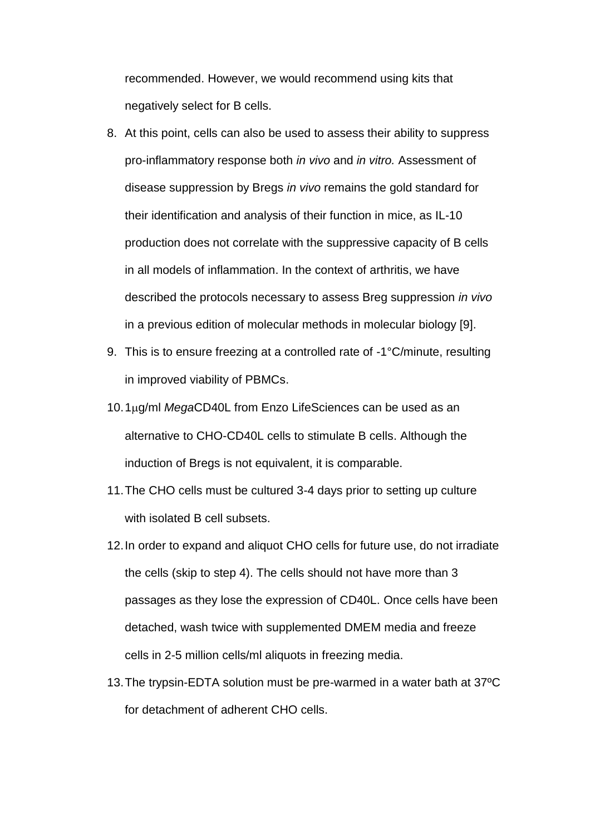recommended. However, we would recommend using kits that negatively select for B cells.

- 8. At this point, cells can also be used to assess their ability to suppress pro-inflammatory response both *in vivo* and *in vitro.* Assessment of disease suppression by Bregs *in vivo* remains the gold standard for their identification and analysis of their function in mice, as IL-10 production does not correlate with the suppressive capacity of B cells in all models of inflammation. In the context of arthritis, we have described the protocols necessary to assess Breg suppression *in vivo*  in a previous edition of molecular methods in molecular biology [\[9\]](#page-18-2).
- 9. This is to ensure freezing at a controlled rate of -1°C/minute, resulting in improved viability of PBMCs.
- 10.1g/ml *Mega*CD40L from Enzo LifeSciences can be used as an alternative to CHO-CD40L cells to stimulate B cells. Although the induction of Bregs is not equivalent, it is comparable.
- 11.The CHO cells must be cultured 3-4 days prior to setting up culture with isolated B cell subsets.
- 12.In order to expand and aliquot CHO cells for future use, do not irradiate the cells (skip to step 4). The cells should not have more than 3 passages as they lose the expression of CD40L. Once cells have been detached, wash twice with supplemented DMEM media and freeze cells in 2-5 million cells/ml aliquots in freezing media.
- 13.The trypsin-EDTA solution must be pre-warmed in a water bath at 37ºC for detachment of adherent CHO cells.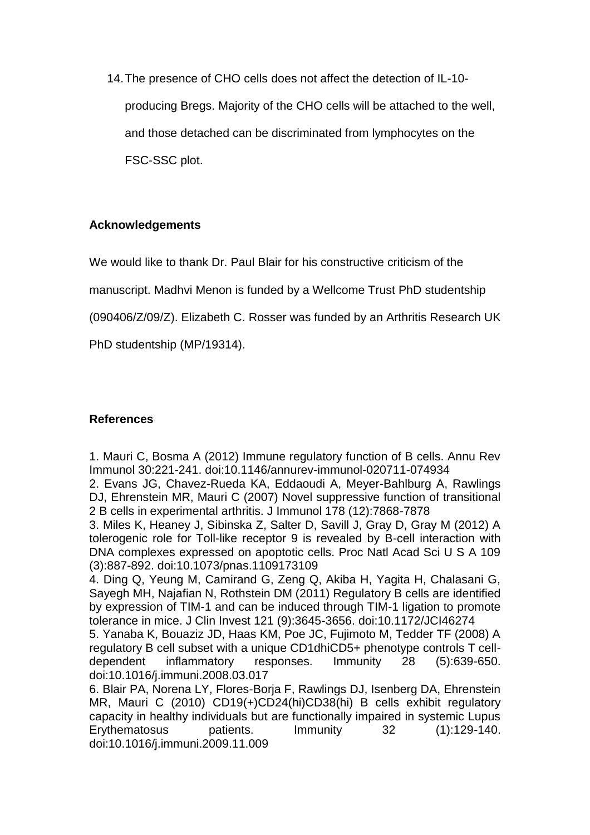14.The presence of CHO cells does not affect the detection of IL-10 producing Bregs. Majority of the CHO cells will be attached to the well, and those detached can be discriminated from lymphocytes on the FSC-SSC plot.

## **Acknowledgements**

We would like to thank Dr. Paul Blair for his constructive criticism of the

manuscript. Madhvi Menon is funded by a Wellcome Trust PhD studentship

(090406/Z/09/Z). Elizabeth C. Rosser was funded by an Arthritis Research UK

PhD studentship (MP/19314).

## **References**

<span id="page-17-0"></span>1. Mauri C, Bosma A (2012) Immune regulatory function of B cells. Annu Rev Immunol 30:221-241. doi:10.1146/annurev-immunol-020711-074934

<span id="page-17-1"></span>2. Evans JG, Chavez-Rueda KA, Eddaoudi A, Meyer-Bahlburg A, Rawlings DJ, Ehrenstein MR, Mauri C (2007) Novel suppressive function of transitional 2 B cells in experimental arthritis. J Immunol 178 (12):7868-7878

<span id="page-17-2"></span>3. Miles K, Heaney J, Sibinska Z, Salter D, Savill J, Gray D, Gray M (2012) A tolerogenic role for Toll-like receptor 9 is revealed by B-cell interaction with DNA complexes expressed on apoptotic cells. Proc Natl Acad Sci U S A 109 (3):887-892. doi:10.1073/pnas.1109173109

<span id="page-17-3"></span>4. Ding Q, Yeung M, Camirand G, Zeng Q, Akiba H, Yagita H, Chalasani G, Sayegh MH, Najafian N, Rothstein DM (2011) Regulatory B cells are identified by expression of TIM-1 and can be induced through TIM-1 ligation to promote tolerance in mice. J Clin Invest 121 (9):3645-3656. doi:10.1172/JCI46274

<span id="page-17-4"></span>5. Yanaba K, Bouaziz JD, Haas KM, Poe JC, Fujimoto M, Tedder TF (2008) A regulatory B cell subset with a unique CD1dhiCD5+ phenotype controls T celldependent inflammatory responses. Immunity 28 (5):639-650. doi:10.1016/j.immuni.2008.03.017

<span id="page-17-5"></span>6. Blair PA, Norena LY, Flores-Borja F, Rawlings DJ, Isenberg DA, Ehrenstein MR, Mauri C (2010) CD19(+)CD24(hi)CD38(hi) B cells exhibit regulatory capacity in healthy individuals but are functionally impaired in systemic Lupus Erythematosus patients. Immunity 32 (1):129-140. doi:10.1016/j.immuni.2009.11.009